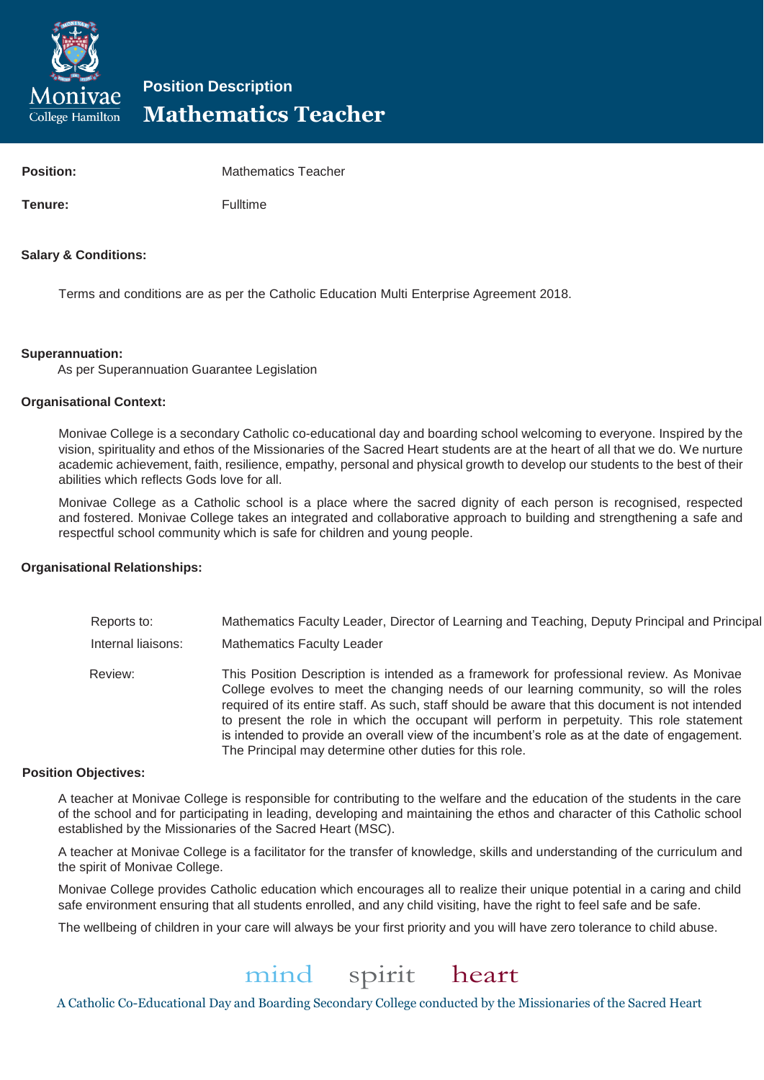

# **Position Description Mathematics Teacher**

| <b>Position:</b> | <b>Mathematics Teacher</b> |
|------------------|----------------------------|
| Tenure:          | Fulltime                   |

# **Salary & Conditions:**

Terms and conditions are as per the Catholic Education Multi Enterprise Agreement 2018.

# **Superannuation:**

As per Superannuation Guarantee Legislation

#### **Organisational Context:**

Monivae College is a secondary Catholic co-educational day and boarding school welcoming to everyone. Inspired by the vision, spirituality and ethos of the Missionaries of the Sacred Heart students are at the heart of all that we do. We nurture academic achievement, faith, resilience, empathy, personal and physical growth to develop our students to the best of their abilities which reflects Gods love for all.

Monivae College as a Catholic school is a place where the sacred dignity of each person is recognised, respected and fostered. Monivae College takes an integrated and collaborative approach to building and strengthening a safe and respectful school community which is safe for children and young people.

# **Organisational Relationships:**

| Reports to:        | Mathematics Faculty Leader, Director of Learning and Teaching, Deputy Principal and Principal                                                                                                                                                                                                                                                                                                                                                                                                                                                  |
|--------------------|------------------------------------------------------------------------------------------------------------------------------------------------------------------------------------------------------------------------------------------------------------------------------------------------------------------------------------------------------------------------------------------------------------------------------------------------------------------------------------------------------------------------------------------------|
| Internal liaisons: | <b>Mathematics Faculty Leader</b>                                                                                                                                                                                                                                                                                                                                                                                                                                                                                                              |
| Review:            | This Position Description is intended as a framework for professional review. As Monivae<br>College evolves to meet the changing needs of our learning community, so will the roles<br>required of its entire staff. As such, staff should be aware that this document is not intended<br>to present the role in which the occupant will perform in perpetuity. This role statement<br>is intended to provide an overall view of the incumbent's role as at the date of engagement.<br>The Principal may determine other duties for this role. |

#### **Position Objectives:**

A teacher at Monivae College is responsible for contributing to the welfare and the education of the students in the care of the school and for participating in leading, developing and maintaining the ethos and character of this Catholic school established by the Missionaries of the Sacred Heart (MSC).

A teacher at Monivae College is a facilitator for the transfer of knowledge, skills and understanding of the curriculum and the spirit of Monivae College.

Monivae College provides Catholic education which encourages all to realize their unique potential in a caring and child safe environment ensuring that all students enrolled, and any child visiting, have the right to feel safe and be safe.

The wellbeing of children in your care will always be your first priority and you will have zero tolerance to child abuse.

# mind spirit heart

A Catholic Co-Educational Day and Boarding Secondary College conducted by the Missionaries of the Sacred Heart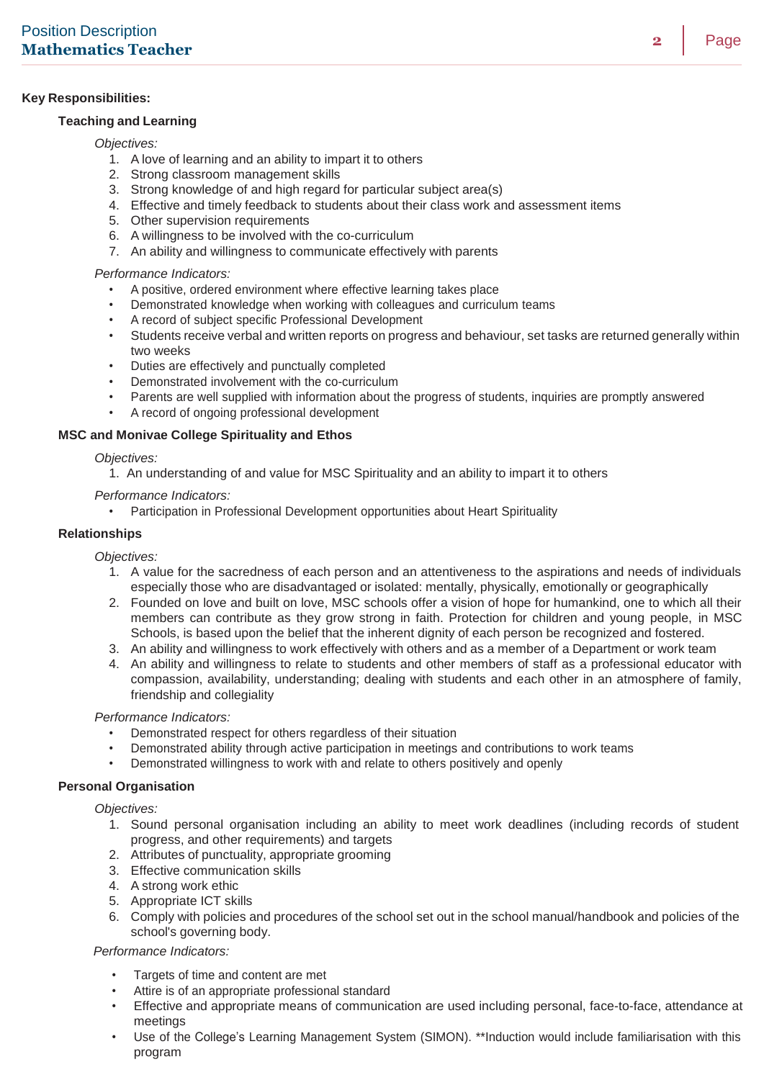### **Key Responsibilities:**

#### **Teaching and Learning**

#### *Objectives:*

- 1. A love of learning and an ability to impart it to others
- 2. Strong classroom management skills
- 3. Strong knowledge of and high regard for particular subject area(s)
- 4. Effective and timely feedback to students about their class work and assessment items
- 5. Other supervision requirements
- 6. A willingness to be involved with the co-curriculum
- 7. An ability and willingness to communicate effectively with parents

#### *Performance Indicators:*

- A positive, ordered environment where effective learning takes place
- Demonstrated knowledge when working with colleagues and curriculum teams
- A record of subject specific Professional Development
- Students receive verbal and written reports on progress and behaviour, set tasks are returned generally within two weeks
- Duties are effectively and punctually completed
- Demonstrated involvement with the co-curriculum
- Parents are well supplied with information about the progress of students, inquiries are promptly answered
- A record of ongoing professional development

# **MSC and Monivae College Spirituality and Ethos**

#### *Objectives:*

1. An understanding of and value for MSC Spirituality and an ability to impart it to others

- *Performance Indicators:*
	- Participation in Professional Development opportunities about Heart Spirituality

#### **Relationships**

*Objectives:*

- 1. A value for the sacredness of each person and an attentiveness to the aspirations and needs of individuals especially those who are disadvantaged or isolated: mentally, physically, emotionally or geographically
- 2. Founded on love and built on love, MSC schools offer a vision of hope for humankind, one to which all their members can contribute as they grow strong in faith. Protection for children and young people, in MSC Schools, is based upon the belief that the inherent dignity of each person be recognized and fostered.
- 3. An ability and willingness to work effectively with others and as a member of a Department or work team
- 4. An ability and willingness to relate to students and other members of staff as a professional educator with compassion, availability, understanding; dealing with students and each other in an atmosphere of family, friendship and collegiality

*Performance Indicators:*

- Demonstrated respect for others regardless of their situation
- Demonstrated ability through active participation in meetings and contributions to work teams
- Demonstrated willingness to work with and relate to others positively and openly

#### **Personal Organisation**

*Objectives:*

- 1. Sound personal organisation including an ability to meet work deadlines (including records of student progress, and other requirements) and targets
- 2. Attributes of punctuality, appropriate grooming
- 3. Effective communication skills
- 4. A strong work ethic
- 5. Appropriate ICT skills
- 6. Comply with policies and procedures of the school set out in the school manual/handbook and policies of the school's governing body.

#### *Performance Indicators:*

- Targets of time and content are met
- Attire is of an appropriate professional standard
- Effective and appropriate means of communication are used including personal, face-to-face, attendance at meetings
- Use of the College's Learning Management System (SIMON). \*\*Induction would include familiarisation with this program